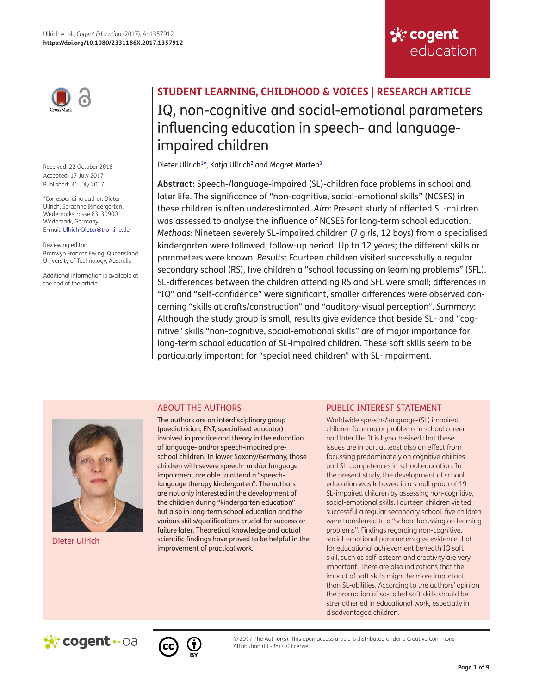

Received: 22 October 2016 Accepted: 17 July 2017 Published: 31 July 2017

<span id="page-0-0"></span>\*Corresponding author: Dieter Ullrich, Sprachheilkindergarten, Wedemarkstrasse 83, 30900 Wedemark, Germany E-mail: [Ullrich-Dieter@t-online.de](mailto:Ullrich-Dieter@t-online.de)

Reviewing editor: Bronwyn Frances Ewing, Queensland University of Technology, Australia

Additional information is available at the end of the article

# **STUDENT LEARNING, CHILDHOOD & VOICES | RESEARCH ARTICLE**  IQ, non-cognitive and social-emotional parameters influencing education in speech- and languageimpaired children

<span id="page-0-1"></span>Dieter Ullrich<sup>[1](#page-7-0)\*</sup>, Katja Ullrich<sup>[2](#page-7-1)</sup> and Magret Marten<sup>3</sup>

**Abstract:** Speech-/language-impaired (SL)-children face problems in school and later life. The significance of "non-cognitive, social-emotional skills" (NCSES) in these children is often underestimated. *Aim*: Present study of affected SL-children was assessed to analyse the influence of NCSES for long-term school education. *Methods*: Nineteen severely SL-impaired children (7 girls, 12 boys) from a specialised kindergarten were followed; follow-up period: Up to 12 years; the different skills or parameters were known. *Results*: Fourteen children visited successfully a regular secondary school (RS), five children a "school focussing on learning problems" (SFL). SL-differences between the children attending RS and SFL were small; differences in "IQ" and "self-confidence" were significant, smaller differences were observed concerning "skills at crafts/construction" and "auditory-visual perception". *Summary*: Although the study group is small, results give evidence that beside SL- and "cognitive" skills "non-cognitive, social-emotional skills" are of major importance for long-term school education of SL-impaired children. These soft skills seem to be particularly important for "special need children" with SL-impairment.



Dieter Ullrich

# ABOUT THE AUTHORS

The authors are an interdisciplinary group (paediatrician, ENT, specialised educator) involved in practice and theory in the education of language- and/or speech-impaired preschool children. In lower Saxony/Germany, those children with severe speech- and/or language impairment are able to attend a "speechlanguage therapy kindergarten". The authors are not only interested in the development of the children during "kindergarten education" but also in long-term school education and the various skills/qualifications crucial for success or failure later. Theoretical knowledge and actual scientific findings have proved to be helpful in the improvement of practical work.

# PUBLIC INTEREST STATEMENT

**Sk: cogent** 

education

Worldwide speech-/language-(SL) impaired children face major problems in school career and later life. It is hypothesised that these issues are in part at least also an effect from focussing predominately on cognitive abilities and SL-competences in school education. In the present study, the development of school education was followed in a small group of 19 SL-impaired children by assessing non-cognitive, social-emotional skills. Fourteen children visited successful a regular secondary school, five children were transferred to a "school focussing on learning problems". Findings regarding non-cognitive, social-emotional parameters give evidence that for educational achievement beneath IQ soft skill, such as self-esteem and creativity are very important. There are also indications that the impact of soft skills might be more important than SL-abilities. According to the authors' opinion the promotion of so-called soft skills should be strengthened in educational work, especially in disadvantaged children.





© 2017 The Author(s). This open access article is distributed under a Creative Commons Attribution (CC-BY) 4.0 license.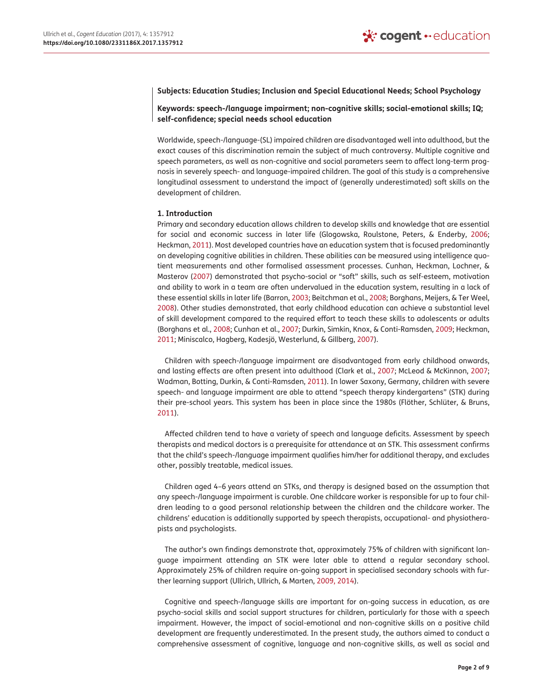## **Subjects: Education Studies; Inclusion and Special Educational Needs; School Psychology**

**Keywords: speech-/language impairment; non-cognitive skills; social-emotional skills; IQ; self-confidence; special needs school education**

Worldwide, speech-/language-(SL) impaired children are disadvantaged well into adulthood, but the exact causes of this discrimination remain the subject of much controversy. Multiple cognitive and speech parameters, as well as non-cognitive and social parameters seem to affect long-term prognosis in severely speech- and language-impaired children. The goal of this study is a comprehensive longitudinal assessment to understand the impact of (generally underestimated) soft skills on the development of children.

## **1. Introduction**

<span id="page-1-8"></span><span id="page-1-7"></span><span id="page-1-4"></span>Primary and secondary education allows children to develop skills and knowledge that are essential for social and economic success in later life (Glogowska, Roulstone, Peters, & Enderby, [2006;](#page-7-3) Heckman, [2011](#page-7-4)). Most developed countries have an education system that is focused predominantly on developing cognitive abilities in children. These abilities can be measured using intelligence quotient measurements and other formalised assessment processes. Cunhan, Heckman, Lochner, & Masterov ([2007](#page-7-5)) demonstrated that psycho-social or "soft" skills, such as self-esteem, motivation and ability to work in a team are often undervalued in the education system, resulting in a lack of these essential skills in later life (Barron, [2003;](#page-7-6) Beitchman et al., [2008;](#page-7-7) Borghans, Meijers, & Ter Weel, [2008](#page-7-8)). Other studies demonstrated, that early childhood education can achieve a substantial level of skill development compared to the required effort to teach these skills to adolescents or adults (Borghans et al., [2008](#page-7-8); Cunhan et al., [2007](#page-7-5); Durkin, Simkin, Knox, & Conti-Ramsden, [2009;](#page-7-9) Heckman, [2011](#page-7-4); Miniscalco, Hagberg, Kadesjö, Westerlund, & Gillberg, [2007\)](#page-7-10).

<span id="page-1-11"></span><span id="page-1-10"></span><span id="page-1-9"></span><span id="page-1-5"></span><span id="page-1-3"></span><span id="page-1-2"></span><span id="page-1-1"></span><span id="page-1-0"></span>Children with speech-/language impairment are disadvantaged from early childhood onwards, and lasting effects are often present into adulthood (Clark et al., [2007](#page-7-11); McLeod & McKinnon, [2007;](#page-7-12) Wadman, Botting, Durkin, & Conti-Ramsden, [2011](#page-8-0)). In lower Saxony, Germany, children with severe speech- and language impairment are able to attend "speech therapy kindergartens" (STK) during their pre-school years. This system has been in place since the 1980s (Flöther, Schlüter, & Bruns, [2011](#page-7-13)).

<span id="page-1-6"></span>Affected children tend to have a variety of speech and language deficits. Assessment by speech therapists and medical doctors is a prerequisite for attendance at an STK. This assessment confirms that the child's speech-/language impairment qualifies him/her for additional therapy, and excludes other, possibly treatable, medical issues.

Children aged 4–6 years attend an STKs, and therapy is designed based on the assumption that any speech-/language impairment is curable. One childcare worker is responsible for up to four children leading to a good personal relationship between the children and the childcare worker. The childrens' education is additionally supported by speech therapists, occupational- and physiotherapists and psychologists.

The author's own findings demonstrate that, approximately 75% of children with significant language impairment attending an STK were later able to attend a regular secondary school. Approximately 25% of children require on-going support in specialised secondary schools with further learning support (Ullrich, Ullrich, & Marten, [2009, 2014](#page-8-1)).

Cognitive and speech-/language skills are important for on-going success in education, as are psycho-social skills and social support structures for children, particularly for those with a speech impairment. However, the impact of social-emotional and non-cognitive skills on a positive child development are frequently underestimated. In the present study, the authors aimed to conduct a comprehensive assessment of cognitive, language and non-cognitive skills, as well as social and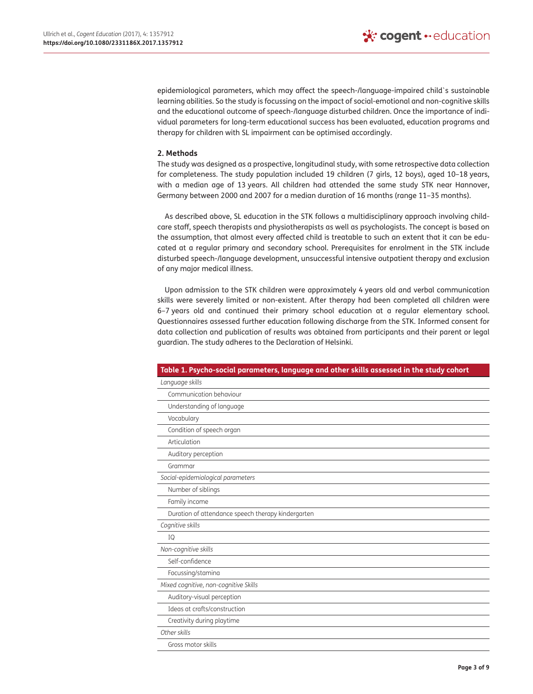epidemiological parameters, which may affect the speech-/language-impaired child`s sustainable learning abilities. So the study is focussing on the impact of social-emotional and non-cognitive skills and the educational outcome of speech-/language disturbed children. Once the importance of individual parameters for long-term educational success has been evaluated, education programs and therapy for children with SL impairment can be optimised accordingly.

## **2. Methods**

The study was designed as a prospective, longitudinal study, with some retrospective data collection for completeness. The study population included 19 children (7 girls, 12 boys), aged 10–18 years, with a median age of 13 years. All children had attended the same study STK near Hannover, Germany between 2000 and 2007 for a median duration of 16 months (range 11–35 months).

As described above, SL education in the STK follows a multidisciplinary approach involving childcare staff, speech therapists and physiotherapists as well as psychologists. The concept is based on the assumption, that almost every affected child is treatable to such an extent that it can be educated at a regular primary and secondary school. Prerequisites for enrolment in the STK include disturbed speech-/language development, unsuccessful intensive outpatient therapy and exclusion of any major medical illness.

Upon admission to the STK children were approximately 4 years old and verbal communication skills were severely limited or non-existent. After therapy had been completed all children were 6–7 years old and continued their primary school education at a regular elementary school. Questionnaires assessed further education following discharge from the STK. Informed consent for data collection and publication of results was obtained from participants and their parent or legal guardian. The study adheres to the Declaration of Helsinki.

<span id="page-2-0"></span>

| Table 1. Psycho-social parameters, language and other skills assessed in the study cohort |
|-------------------------------------------------------------------------------------------|
| Language skills                                                                           |
| Communication behaviour                                                                   |
| Understanding of language                                                                 |
| Vocabulary                                                                                |
| Condition of speech organ                                                                 |
| Articulation                                                                              |
| Auditory perception                                                                       |
| Grammar                                                                                   |
| Social-epidemiological parameters                                                         |
| Number of siblings                                                                        |
| Family income                                                                             |
| Duration of attendance speech therapy kindergarten                                        |
| Cognitive skills                                                                          |
| IQ                                                                                        |
| Non-cognitive skills                                                                      |
| Self-confidence                                                                           |
| Focussing/stamina                                                                         |
| Mixed cognitive, non-cognitive Skills                                                     |
| Auditory-visual perception                                                                |
| Ideas at crafts/construction                                                              |
| Creativity during playtime                                                                |
| Other skills                                                                              |
| Gross motor skills                                                                        |
|                                                                                           |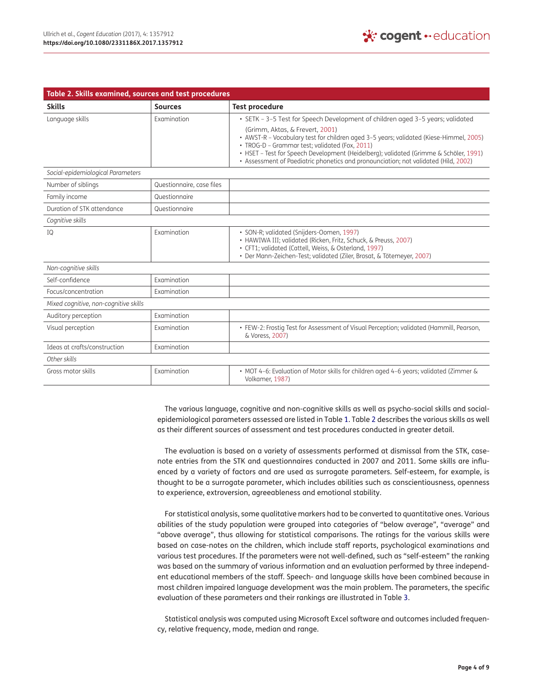<span id="page-3-7"></span><span id="page-3-6"></span><span id="page-3-4"></span><span id="page-3-3"></span><span id="page-3-2"></span><span id="page-3-0"></span>

| Table 2. Skills examined, sources and test procedures |                           |                                                                                                                                                                                                                                                                                                                                                             |
|-------------------------------------------------------|---------------------------|-------------------------------------------------------------------------------------------------------------------------------------------------------------------------------------------------------------------------------------------------------------------------------------------------------------------------------------------------------------|
| <b>Skills</b>                                         | <b>Sources</b>            | <b>Test procedure</b>                                                                                                                                                                                                                                                                                                                                       |
| Language skills                                       | Examination               | • SETK - 3-5 Test for Speech Development of children aged 3-5 years; validated                                                                                                                                                                                                                                                                              |
|                                                       |                           | (Grimm, Aktas, & Frevert, 2001)<br>· AWST-R - Vocabulary test for children aged 3-5 years; validated (Kiese-Himmel, 2005)<br>· TROG-D - Grammar test; validated (Fox, 2011)<br>• HSET - Test for Speech Development (Heidelberg); validated (Grimme & Schöler, 1991)<br>• Assessment of Paediatric phonetics and pronounciation; not validated (Hild, 2002) |
| Social-epidemiological Parameters                     |                           |                                                                                                                                                                                                                                                                                                                                                             |
| Number of siblings                                    | Questionnaire, case files |                                                                                                                                                                                                                                                                                                                                                             |
| Family income                                         | Questionnaire             |                                                                                                                                                                                                                                                                                                                                                             |
| Duration of STK attendance                            | Questionnaire             |                                                                                                                                                                                                                                                                                                                                                             |
| Cognitive skills                                      |                           |                                                                                                                                                                                                                                                                                                                                                             |
| IQ                                                    | Examination               | · SON-R; validated (Snijders-Oomen, 1997)<br>· HAWIWA III; validated (Ricken, Fritz, Schuck, & Preuss, 2007)<br>• CFT1; validated (Cattell, Weiss, & Osterland, 1997)<br>· Der Mann-Zeichen-Test; validated (Ziler, Brosat, & Tötemeyer, 2007)                                                                                                              |
| Non-cognitive skills                                  |                           |                                                                                                                                                                                                                                                                                                                                                             |
| Self-confidence                                       | Examination               |                                                                                                                                                                                                                                                                                                                                                             |
| Focus/concentration                                   | Examination               |                                                                                                                                                                                                                                                                                                                                                             |
| Mixed cognitive, non-cognitive skills                 |                           |                                                                                                                                                                                                                                                                                                                                                             |
| Auditory perception                                   | Examination               |                                                                                                                                                                                                                                                                                                                                                             |
| Visual perception                                     | Examination               | • FEW-2: Frostig Test for Assessment of Visual Perception; validated (Hammill, Pearson,<br>& Voress, 2007)                                                                                                                                                                                                                                                  |
| Ideas at crafts/construction                          | Examination               |                                                                                                                                                                                                                                                                                                                                                             |
| Other skills                                          |                           |                                                                                                                                                                                                                                                                                                                                                             |
| Gross motor skills                                    | Examination               | • MOT 4-6: Evaluation of Motor skills for children aged 4-6 years; validated (Zimmer &<br>Volkamer, 1987)                                                                                                                                                                                                                                                   |

<span id="page-3-11"></span><span id="page-3-10"></span><span id="page-3-9"></span><span id="page-3-8"></span><span id="page-3-5"></span><span id="page-3-1"></span>The various language, cognitive and non-cognitive skills as well as psycho-social skills and socialepidemiological parameters assessed are listed in Table [1](#page-2-0). Table [2](#page-3-0) describes the various skills as well as their different sources of assessment and test procedures conducted in greater detail.

The evaluation is based on a variety of assessments performed at dismissal from the STK, casenote entries from the STK and questionnaires conducted in 2007 and 2011. Some skills are influenced by a variety of factors and are used as surrogate parameters. Self-esteem, for example, is thought to be a surrogate parameter, which includes abilities such as conscientiousness, openness to experience, extroversion, agreeableness and emotional stability.

For statistical analysis, some qualitative markers had to be converted to quantitative ones. Various abilities of the study population were grouped into categories of "below average", "average" and "above average", thus allowing for statistical comparisons. The ratings for the various skills were based on case-notes on the children, which include staff reports, psychological examinations and various test procedures. If the parameters were not well-defined, such as "self-esteem" the ranking was based on the summary of various information and an evaluation performed by three independent educational members of the staff. Speech- and language skills have been combined because in most children impaired language development was the main problem. The parameters, the specific evaluation of these parameters and their rankings are illustrated in Table [3.](#page-4-0)

Statistical analysis was computed using Microsoft Excel software and outcomes included frequency, relative frequency, mode, median and range.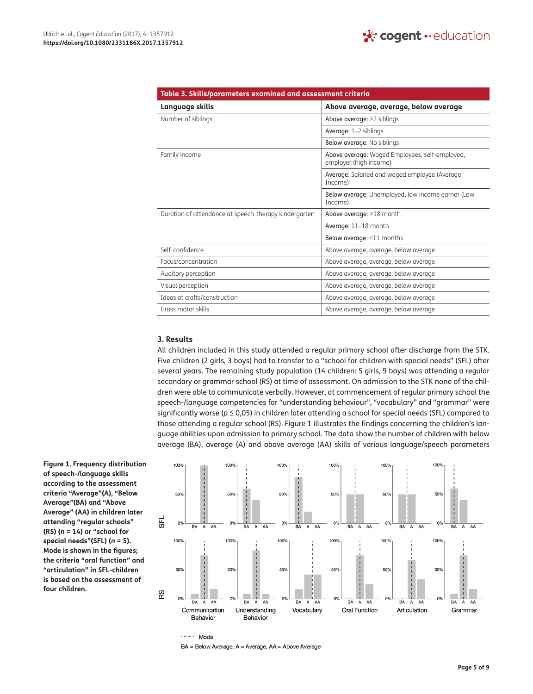<span id="page-4-0"></span>

| Table 3. Skills/parameters examined and assessment criteria |                                                                          |  |  |
|-------------------------------------------------------------|--------------------------------------------------------------------------|--|--|
| Language skills                                             | Above average, average, below average                                    |  |  |
| Number of siblings                                          | Above average: >2 siblings                                               |  |  |
|                                                             | Average: 1-2 siblings                                                    |  |  |
|                                                             | Below average: No siblings                                               |  |  |
| Family income                                               | Above average: Waged Employees, self-employed,<br>employer (high income) |  |  |
|                                                             | Average: Salaried and waged employee (Average<br>Income)                 |  |  |
|                                                             | Below average: Unemployed, low income earner (Low<br>Income)             |  |  |
| Duration of attendance at speech-therapy kindergarten       | Above average: >18 month                                                 |  |  |
|                                                             | Average: 11-18 month                                                     |  |  |
|                                                             | Below average: <11 months                                                |  |  |
| Self-confidence                                             | Above average, average, below average                                    |  |  |
| Focus/concentration                                         | Above average, average, below average                                    |  |  |
| Auditory perception                                         | Above average, average, below average                                    |  |  |
| Visual perception                                           | Above average, average, below average                                    |  |  |
| Ideas at crafts/construction                                | Above average, average, below average                                    |  |  |
| Gross motor skills                                          | Above average, average, below average                                    |  |  |

## **3. Results**

All children included in this study attended a regular primary school after discharge from the STK. Five children (2 girls, 3 boys) had to transfer to a "school for children with special needs" (SFL) after several years. The remaining study population (14 children: 5 girls, 9 boys) was attending a regular secondary or grammar school (RS) at time of assessment. On admission to the STK none of the children were able to communicate verbally. However, at commencement of regular primary school the speech-/language competencies for "understanding behaviour", "vocabulary" and "grammar" were significantly worse (*p* ≤ 0,05) in children later attending a school for special needs (SFL) compared to those attending a regular school (RS). Figure [1](#page-4-1) illustrates the findings concerning the children's language abilities upon admission to primary school. The data show the number of children with below average (BA), average (A) and above average (AA) skills of various language/speech parameters

<span id="page-4-1"></span>**Figure 1. Frequency distribution of speech-/language skills according to the assessment criteria "Average"(A), "Below Average"(BA) and "Above Average" (AA) in children later attending "regular schools" (RS) (***n* **= 14) or "school for special needs"(SFL) (***n* **= 5). Mode is shown in the figures; the criteria "oral function" and "articulation" in SFL-children is based on the assessment of four children.**



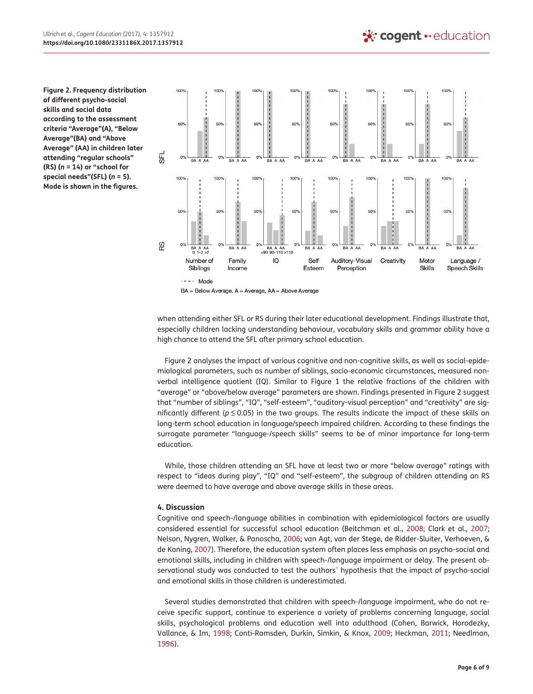<span id="page-5-0"></span>**Figure 2. Frequency distribution of different psycho-social skills and social data according to the assessment criteria "Average"(A), "Below Average"(BA) and "Above Average" (AA) in children later attending "regular schools" (RS) (***n* **= 14) or "school for special needs"(SFL) (***n* **= 5). Mode is shown in the figures.**



BA = Below Average, A = Average, AA = Above Average

when attending either SFL or RS during their later educational development. Findings illustrate that, especially children lacking understanding behaviour, vocabulary skills and grammar ability have a high chance to attend the SFL after primary school education.

Figure [2](#page-5-0) analyses the impact of various cognitive and non-cognitive skills, as well as social-epidemiological parameters, such as number of siblings, socio-economic circumstances, measured nonverbal intelligence quotient (IQ). Similar to Figure [1](#page-4-1) the relative fractions of the children with "average" or "above/below average" parameters are shown. Findings presented in Figure [2](#page-5-0) suggest that "number of siblings", "IQ", "self-esteem", "auditory-visual perception" and "creativity" are significantly different (*p* ≤ 0.05) in the two groups. The results indicate the impact of these skills on long-term school education in language/speech impaired children. According to these findings the surrogate parameter "language-/speech skills" seems to be of minor importance for long-term education.

While, those children attending an SFL have at least two or more "below average" ratings with respect to "ideas during play", "IQ" and "self-esteem", the subgroup of children attending an RS were deemed to have average and above average skills in these areas.

## **4. Discussion**

<span id="page-5-5"></span><span id="page-5-4"></span>Cognitive and speech-/language abilities in combination with epidemiological factors are usually considered essential for successful school education (Beitchman et al., [2008](#page-7-7); Clark et al., [2007;](#page-7-11) Nelson, Nygren, Walker, & Panoscha, [2006](#page-8-6); van Agt, van der Stege, de Ridder-Sluiter, Verhoeven, & de Koning, [2007\)](#page-8-7). Therefore, the education system often places less emphasis on psycho-social and emotional skills, including in children with speech-/language impairment or delay. The present observational study was conducted to test the authors` hypothesis that the impact of psycho-social and emotional skills in those children is underestimated.

<span id="page-5-3"></span><span id="page-5-2"></span><span id="page-5-1"></span>Several studies demonstrated that children with speech-/language impairment, who do not receive specific support, continue to experience a variety of problems concerning language, social skills, psychological problems and education well into adulthood (Cohen, Barwick, Horodezky, Vallance, & Im, [1998](#page-7-21); Conti-Ramsden, Durkin, Simkin, & Knox, [2009;](#page-7-22) Heckman, [2011;](#page-7-4) Needlman, [1996](#page-8-8)).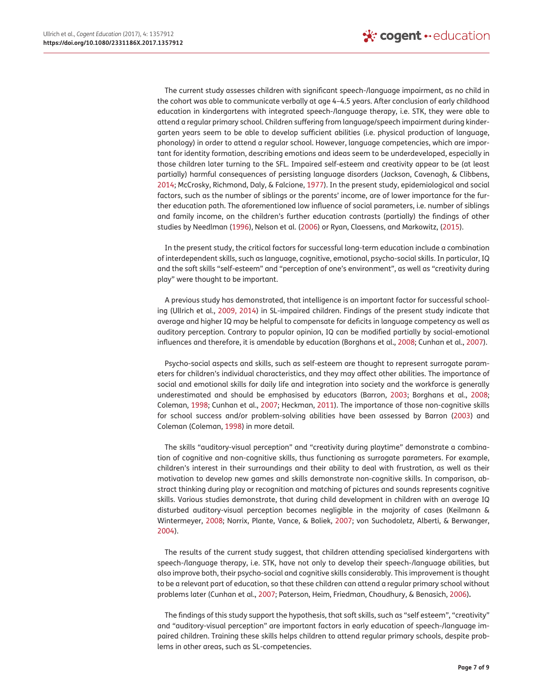The current study assesses children with significant speech-/language impairment, as no child in the cohort was able to communicate verbally at age 4–4.5 years. After conclusion of early childhood education in kindergartens with integrated speech-/language therapy, i.e. STK, they were able to attend a regular primary school. Children suffering from language/speech impairment during kindergarten years seem to be able to develop sufficient abilities (i.e. physical production of language, phonology) in order to attend a regular school. However, language competencies, which are important for identity formation, describing emotions and ideas seem to be underdeveloped, especially in those children later turning to the SFL. Impaired self-esteem and creativity appear to be (at least partially) harmful consequences of persisting language disorders (Jackson, Cavenagh, & Clibbens, [2014](#page-7-23); McCrosky, Richmond, Daly, & Falcione, [1977](#page-7-24)). In the present study, epidemiological and social factors, such as the number of siblings or the parents' income, are of lower importance for the further education path. The aforementioned low influence of social parameters, i.e. number of siblings and family income, on the children's further education contrasts (partially) the findings of other studies by Needlman [\(1996\)](#page-8-8), Nelson et al. ([2006](#page-8-6)) or Ryan, Claessens, and Markowitz, [\(2015\)](#page-8-9).

<span id="page-6-6"></span><span id="page-6-3"></span><span id="page-6-1"></span>In the present study, the critical factors for successful long-term education include a combination of interdependent skills, such as language, cognitive, emotional, psycho-social skills. In particular, IQ and the soft skills "self-esteem" and "perception of one's environment", as well as "creativity during play" were thought to be important.

A previous study has demonstrated, that intelligence is an important factor for successful schooling (Ullrich et al., [2009, 2014\)](#page-8-1) in SL-impaired children. Findings of the present study indicate that average and higher IQ may be helpful to compensate for deficits in language competency as well as auditory perception. Contrary to popular opinion, IQ can be modified partially by social-emotional influences and therefore, it is amendable by education (Borghans et al., [2008](#page-7-8); Cunhan et al., [2007\)](#page-7-5).

<span id="page-6-0"></span>Psycho-social aspects and skills, such as self-esteem are thought to represent surrogate parameters for children's individual characteristics, and they may affect other abilities. The importance of social and emotional skills for daily life and integration into society and the workforce is generally underestimated and should be emphasised by educators (Barron, [2003;](#page-7-6) Borghans et al., [2008;](#page-7-8) Coleman, [1998;](#page-7-25) Cunhan et al., [2007;](#page-7-5) Heckman, [2011](#page-7-4)). The importance of those non-cognitive skills for school success and/or problem-solving abilities have been assessed by Barron ([2003](#page-7-6)) and Coleman (Coleman, [1998](#page-7-25)) in more detail.

The skills "auditory-visual perception" and "creativity during playtime" demonstrate a combination of cognitive and non-cognitive skills, thus functioning as surrogate parameters. For example, children's interest in their surroundings and their ability to deal with frustration, as well as their motivation to develop new games and skills demonstrate non-cognitive skills. In comparison, abstract thinking during play or recognition and matching of pictures and sounds represents cognitive skills. Various studies demonstrate, that during child development in children with an average IQ disturbed auditory-visual perception becomes negligible in the majority of cases (Keilmann & Wintermeyer, [2008;](#page-7-26) Norrix, Plante, Vance, & Boliek, [2007;](#page-8-10) von Suchodoletz, Alberti, & Berwanger, [2004](#page-8-11)).

<span id="page-6-7"></span><span id="page-6-4"></span><span id="page-6-2"></span>The results of the current study suggest, that children attending specialised kindergartens with speech-/language therapy, i.e. STK, have not only to develop their speech-/language abilities, but also improve both, their psycho-social and cognitive skills considerably. This improvement is thought to be a relevant part of education, so that these children can attend a regular primary school without problems later (Cunhan et al., [2007;](#page-7-5) Paterson, Heim, Friedman, Choudhury, & Benasich, [2006\)](#page-8-12)**.**

<span id="page-6-5"></span>The findings of this study support the hypothesis, that soft skills, such as "self esteem", "creativity" and "auditory-visual perception" are important factors in early education of speech-/language impaired children. Training these skills helps children to attend regular primary schools, despite problems in other areas, such as SL-competencies.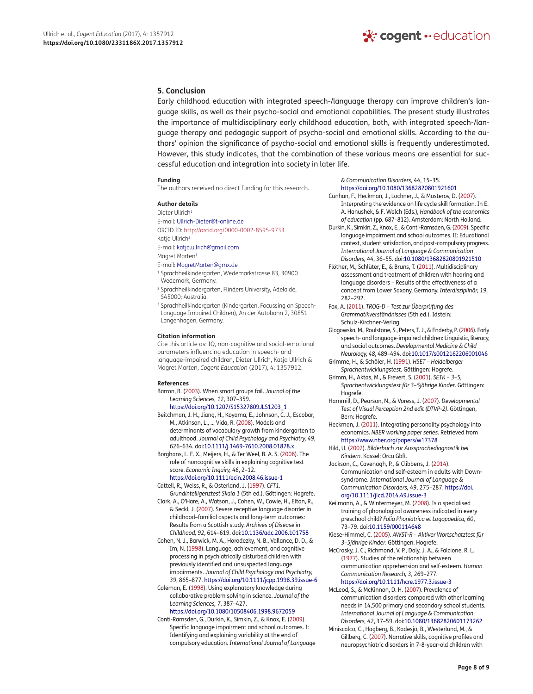## **5. Conclusion**

Early childhood education with integrated speech-/language therapy can improve children's language skills, as well as their psycho-social and emotional capabilities. The present study illustrates the importance of multidisciplinary early childhood education, both, with integrated speech-/language therapy and pedagogic support of psycho-social and emotional skills. According to the authors' opinion the significance of psycho-social and emotional skills is frequently underestimated. However, this study indicates, that the combination of these various means are essential for successful education and integration into society in later life.

#### **Funding**

The authors received no direct funding for this research.

#### **Author details**

Dieter Ullrich<sup>[1](#page-0-1)</sup> E-mail: [Ullrich-Dieter@t-online.de](mailto:Ullrich-Dieter@t-online.de)

ORCID ID:<http://orcid.org/0000-0002-8595-9733>

- Katia Ullrich<sup>2</sup>
- E-mail: [katja.ullrich@gmail.com](mailto:katja.ullrich@gmail.com)
- Magret Marten[3](#page-0-1) E-mail: [MagretMarten@gmx.de](mailto:MagretMarten@gmx.de)
- <span id="page-7-0"></span>
- <sup>1</sup> Sprachheilkindergarten, Wedemarkstrasse 83, 30900 Wedemark, Germany.
- <span id="page-7-1"></span><sup>2</sup> Sprachheilkindergarten, Flinders University, Adelaide, SA5000; Australia.
- <span id="page-7-2"></span><sup>3</sup> Sprachheilkindergarten (Kindergarten, Focussing on Speech-Language Impaired Children), An der Autobahn 2, 30851 Langenhagen, Germany.

#### **Citation information**

Cite this article as: IQ, non-cognitive and social-emotional parameters influencing education in speech- and language-impaired children, Dieter Ullrich, Katja Ullrich & Magret Marten, *Cogent Education* (2017), 4: 1357912.

#### **References**

- <span id="page-7-6"></span>Barron, B. ([2003\)](#page-1-0). When smart groups fail. *Journal of the Learning Sciences, 12*, 307–359[.](https://doi.org/10.1207/S15327809JLS1203_1)
	- [https://doi.org/10.1207/S15327809JLS1203\\_1](https://doi.org/10.1207/S15327809JLS1203_1)
- <span id="page-7-7"></span>Beitchman, J. H., Jiang, H., Koyama, E., Johnson, C. J., Escobar, M., Atkinson, L., … Vida, R. [\(2008](#page-1-1)). Models and determinants of vocabulary growth from kindergarten to adulthood. *Journal of Child Psychology and Psychiatry, 49*, 626–634. doi[:10.1111/j.1469-7610.2008.01878.x](https://doi.org/10.1111/j.1469-7610.2008.01878.x)

<span id="page-7-8"></span>Borghans, L. E. X., Meijers, H., & Ter Weel, B. A. S. [\(2008](#page-1-2)). The role of noncognitive skills in explaining cognitive test score. *Economic Inquiry, 46*, 2–12[.](https://doi.org/10.1111/ecin.2008.46.issue-1) <https://doi.org/10.1111/ecin.2008.46.issue-1>

- <span id="page-7-19"></span>Cattell, R., Weiss, R., & Osterland, J. [\(1997\)](#page-3-1). *CFT1. Grundintelligenztest Skala 1* (5th ed.). Göttingen: Hogrefe.
- <span id="page-7-11"></span>Clark, A., O'Hare, A., Watson, J., Cohen, W., Cowie, H., Elton, R., & Seckl, J. ([2007](#page-1-3)). Severe receptive language disorder in childhood–familial aspects and long-term outcomes: Results from a Scottish study. *Archives of Disease in Childhood, 92*, 614–619. doi[:10.1136/adc.2006.101758](https://doi.org/10.1136/adc.2006.101758)
- <span id="page-7-21"></span>Cohen, N. J., Barwick, M. A., Horodezky, N. B., Vallance, D. D., & Im, N. [\(1998](#page-5-1)). Language, achievement, and cognitive processing in psychiatrically disturbed children with previously identified and unsuspected language impairments. *Journal of Child Psychology and Psychiatry, 39*, 865–877.<https://doi.org/10.1111/jcpp.1998.39.issue-6>
- <span id="page-7-25"></span>Coleman, E. ([1998\)](#page-6-0). Using explanatory knowledge during collaborative problem solving in science. *Journal of the Learning Sciences, 7*, 387–427.

<span id="page-7-22"></span><https://doi.org/10.1080/10508406.1998.9672059> Conti-Ramsden, G., Durkin, K., Simkin, Z., & Knox, E. [\(2009\)](#page-5-2).

Specific language impairment and school outcomes. I: Identifying and explaining variability at the end of compulsory education. *International Journal of Language*  *& Communication Disorders, 44*, 15–35. <https://doi.org/10.1080/13682820801921601>

- <span id="page-7-5"></span>Cunhan, F., Heckman, J., Lochner, J., & Masterov, D. [\(2007](#page-1-4)). Interpreting the evidence on life cycle skill formation. In E. A. Hanushek, & F. Welch (Eds.), *Handbook of the economics of education* (pp. 687–812). Amsterdam: North Holland.
- <span id="page-7-9"></span>Durkin, K., Simkin, Z., Knox, E., & Conti-Ramsden, G. [\(2009\)](#page-1-5). Specific language impairment and school outcomes. II: Educational context, student satisfaction, and post-compulsory progress. *International Journal of Language & Communication Disorders, 44*, 36–55. doi:[10.1080/13682820801921510](https://doi.org/10.1080/13682820801921510)
- <span id="page-7-13"></span>Flöther, M., Schlüter, E., & Bruns, T. ([2011\)](#page-1-6). Multidisciplinary assessment and treatment of children with hearing and language disorders – Results of the effectiveness of a concept from Lower Saxony, Germany. *Interdisziplinär, 19*, 282–292.
- <span id="page-7-16"></span>Fox, A. [\(2011](#page-3-2)). *TROG-D – Test zur Überprüfung des Grammatikverständnisses* (5th ed.). Idstein: Schulz-Kirchner-Verlag.
- <span id="page-7-3"></span>Glogowska, M., Roulstone, S., Peters, T. J., & Enderby, P. [\(2006](#page-1-7)). Early speech- and language-impaired children: Linguistic, literacy, and social outcomes. *Developmental Medicine & Child Neurology, 48*, 489–494. doi:[10.1017/s0012162206001046](https://doi.org/10.1017/s0012162206001046)
- <span id="page-7-17"></span>Grimme, H., & Schöler, H. [\(1991\)](#page-3-3). *HSET – Heidelberger Sprachentwicklungstest*. Göttingen: Hogrefe.
- <span id="page-7-14"></span>Grimm, H., Aktas, M., & Frevert, S. [\(2001](#page-3-4)). *SETK – 3–5, Sprachentwicklungstest für 3–5jährige Kinder*. Göttingen: Hogrefe.
- <span id="page-7-20"></span>Hammill, D., Pearson, N., & Voress, J. [\(2007\)](#page-3-5). *Developmental Test of Visual Perception 2nd edit (DTVP-2)*. Göttingen, Bern: Hogrefe.
- <span id="page-7-4"></span>Heckman, J. [\(2011\)](#page-1-8). Integrating personality psychology into economics. *NBER working paper series*. Retrieved from <https://www.nber.org/papers/w17378>
- <span id="page-7-18"></span>Hild, U. [\(2002\)](#page-3-6). *Bilderbuch zur Aussprachediagnostik bei Kindern*. Kassel: Orca GbR.
- <span id="page-7-23"></span>Jackson, C., Cavenagh, P., & Clibbens, J. [\(2014](#page-6-1)). Communication and self-esteem in adults with Downsyndrome. *International Journal of Language & Communication Disorders, 49*, 275–287[. https://doi.](https://doi.org/10.1111/jlcd.2014.49.issue-3) [org/10.1111/jlcd.2014.49.issue-3](https://doi.org/10.1111/jlcd.2014.49.issue-3)
- <span id="page-7-26"></span>Keilmann, A., & Wintermeyer, M. ([2008\)](#page-6-2). Is a specialised training of phonological awareness indicated in every preschool child? *Folia Phoniatrica et Logopaedica, 60*, 73–79. doi[:10.1159/000114648](https://doi.org/10.1159/000114648)
- <span id="page-7-15"></span>Kiese-Himmel, C. [\(2005\)](#page-3-7). *AWST-R – Aktiver Wortschatztest für 3–5jährige Kinder*. Göttingen: Hogrefe.
- <span id="page-7-24"></span>McCrosky, J. C., Richmond, V. P., Daly, J. A., & Falcione, R. L. [\(1977](#page-6-3)). Studies of the relationship between communication apprehension and self-esteem. *Human Communication Research, 3*, 269–277.

#### <span id="page-7-12"></span><https://doi.org/10.1111/hcre.1977.3.issue-3> McLeod, S., & McKinnon, D. H. ([2007\)](#page-1-9). Prevalence of communication disorders compared with other learning needs in 14,500 primary and secondary school students. *International Journal of Language & Communication*

<span id="page-7-10"></span>*Disorders, 42*, 37–59. doi[:10.1080/13682820601173262](https://doi.org/10.1080/13682820601173262) Miniscalco, C., Hagberg, B., Kadesjö, B., Westerlund, M., & Gillberg, C. [\(2007](#page-1-10)). Narrative skills, cognitive profiles and neuropsychiatric disorders in 7-8-year-old children with